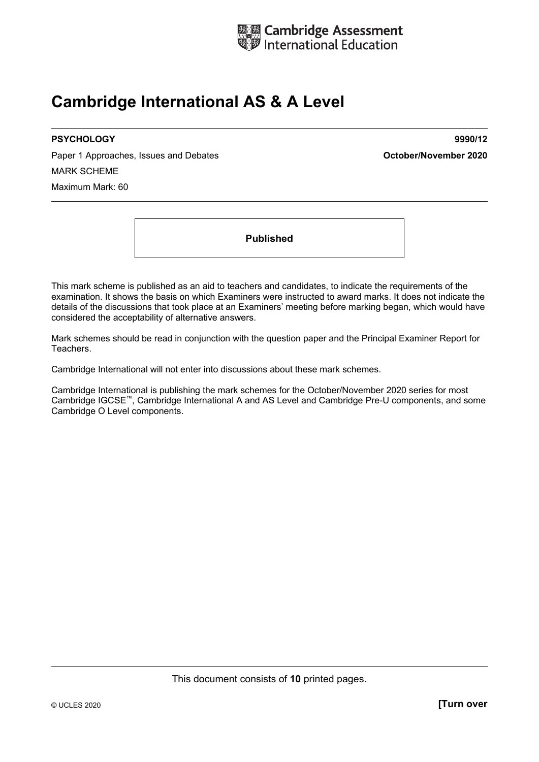

## **Cambridge International AS & A Level**

Paper 1 Approaches, Issues and Debates **Container and Container and Debates Container 2020** MARK SCHEME Maximum Mark: 60

**PSYCHOLOGY 9990/12** 

**Published** 

This mark scheme is published as an aid to teachers and candidates, to indicate the requirements of the examination. It shows the basis on which Examiners were instructed to award marks. It does not indicate the details of the discussions that took place at an Examiners' meeting before marking began, which would have considered the acceptability of alternative answers.

Mark schemes should be read in conjunction with the question paper and the Principal Examiner Report for Teachers.

Cambridge International will not enter into discussions about these mark schemes.

Cambridge International is publishing the mark schemes for the October/November 2020 series for most Cambridge IGCSE™, Cambridge International A and AS Level and Cambridge Pre-U components, and some Cambridge O Level components.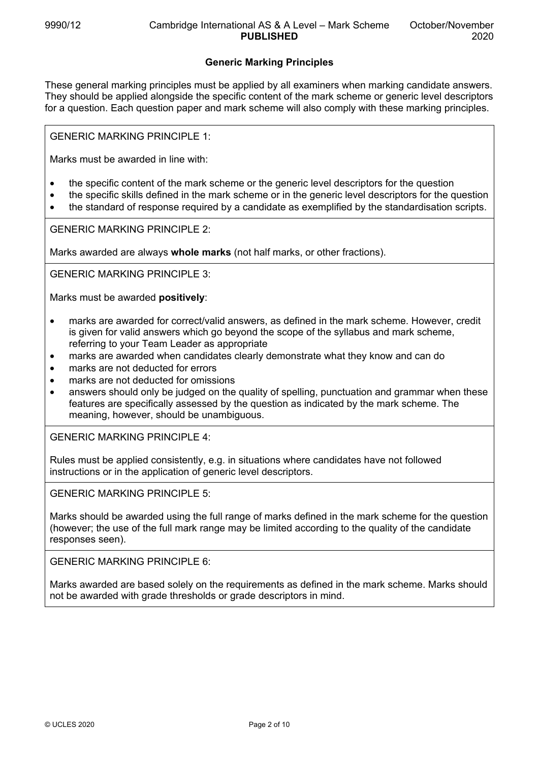## **Generic Marking Principles**

These general marking principles must be applied by all examiners when marking candidate answers. They should be applied alongside the specific content of the mark scheme or generic level descriptors for a question. Each question paper and mark scheme will also comply with these marking principles.

GENERIC MARKING PRINCIPLE 1:

Marks must be awarded in line with:

- the specific content of the mark scheme or the generic level descriptors for the question
- the specific skills defined in the mark scheme or in the generic level descriptors for the question
- the standard of response required by a candidate as exemplified by the standardisation scripts.

GENERIC MARKING PRINCIPLE 2:

Marks awarded are always **whole marks** (not half marks, or other fractions).

GENERIC MARKING PRINCIPLE 3:

Marks must be awarded **positively**:

- marks are awarded for correct/valid answers, as defined in the mark scheme. However, credit is given for valid answers which go beyond the scope of the syllabus and mark scheme, referring to your Team Leader as appropriate
- marks are awarded when candidates clearly demonstrate what they know and can do
- marks are not deducted for errors
- marks are not deducted for omissions
- answers should only be judged on the quality of spelling, punctuation and grammar when these features are specifically assessed by the question as indicated by the mark scheme. The meaning, however, should be unambiguous.

GENERIC MARKING PRINCIPLE 4:

Rules must be applied consistently, e.g. in situations where candidates have not followed instructions or in the application of generic level descriptors.

GENERIC MARKING PRINCIPLE 5:

Marks should be awarded using the full range of marks defined in the mark scheme for the question (however; the use of the full mark range may be limited according to the quality of the candidate responses seen).

GENERIC MARKING PRINCIPLE 6:

Marks awarded are based solely on the requirements as defined in the mark scheme. Marks should not be awarded with grade thresholds or grade descriptors in mind.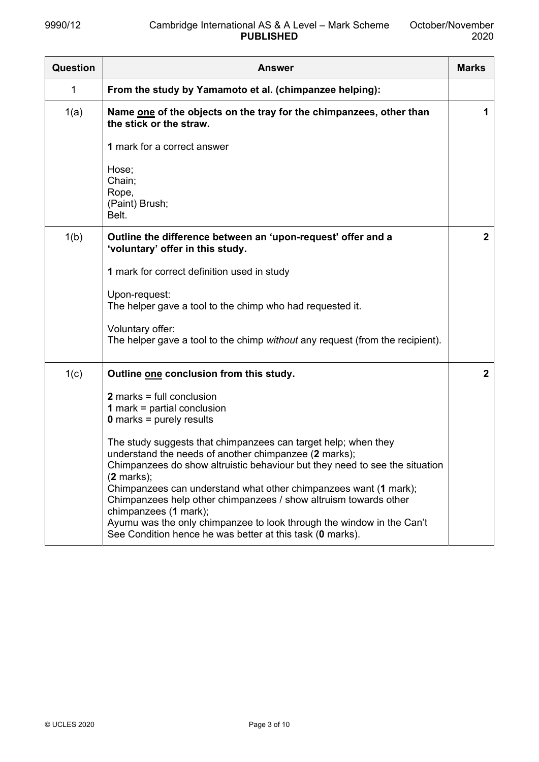| <b>Question</b> | <b>Answer</b>                                                                                                                                                                                                                                                                                                                                                  | <b>Marks</b> |
|-----------------|----------------------------------------------------------------------------------------------------------------------------------------------------------------------------------------------------------------------------------------------------------------------------------------------------------------------------------------------------------------|--------------|
| 1               | From the study by Yamamoto et al. (chimpanzee helping):                                                                                                                                                                                                                                                                                                        |              |
| 1(a)            | Name one of the objects on the tray for the chimpanzees, other than<br>the stick or the straw.                                                                                                                                                                                                                                                                 | 1            |
|                 | 1 mark for a correct answer                                                                                                                                                                                                                                                                                                                                    |              |
|                 | Hose;<br>Chain;<br>Rope,<br>(Paint) Brush;                                                                                                                                                                                                                                                                                                                     |              |
|                 | Belt.                                                                                                                                                                                                                                                                                                                                                          |              |
| 1(b)            | Outline the difference between an 'upon-request' offer and a<br>'voluntary' offer in this study.                                                                                                                                                                                                                                                               | $\mathbf{2}$ |
|                 | 1 mark for correct definition used in study                                                                                                                                                                                                                                                                                                                    |              |
|                 | Upon-request:<br>The helper gave a tool to the chimp who had requested it.                                                                                                                                                                                                                                                                                     |              |
|                 | Voluntary offer:<br>The helper gave a tool to the chimp without any request (from the recipient).                                                                                                                                                                                                                                                              |              |
| 1(c)            | Outline one conclusion from this study.                                                                                                                                                                                                                                                                                                                        | $\mathbf{2}$ |
|                 | $2$ marks = full conclusion<br><b>1</b> mark = partial conclusion<br>$0$ marks = purely results                                                                                                                                                                                                                                                                |              |
|                 | The study suggests that chimpanzees can target help; when they<br>understand the needs of another chimpanzee (2 marks);<br>Chimpanzees do show altruistic behaviour but they need to see the situation<br>$(2$ marks);<br>Chimpanzees can understand what other chimpanzees want (1 mark);<br>Chimpanzees help other chimpanzees / show altruism towards other |              |
|                 | chimpanzees (1 mark);<br>Ayumu was the only chimpanzee to look through the window in the Can't<br>See Condition hence he was better at this task (0 marks).                                                                                                                                                                                                    |              |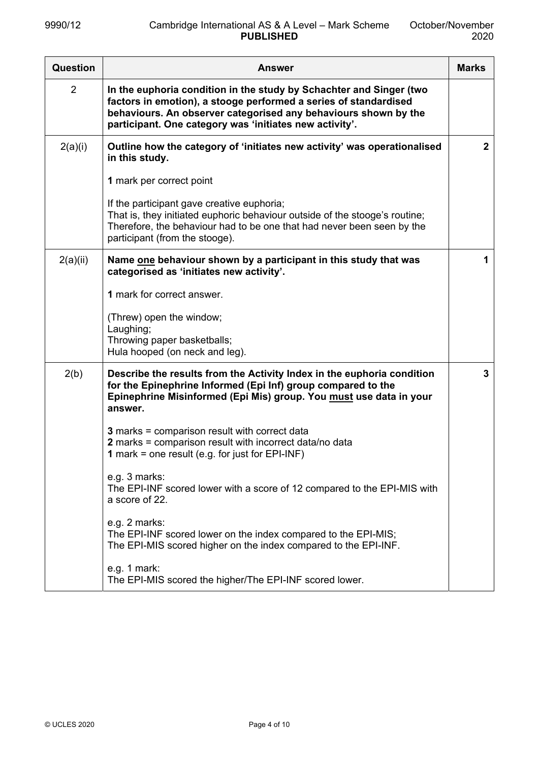| Question       | <b>Answer</b>                                                                                                                                                                                                                                                         | <b>Marks</b> |
|----------------|-----------------------------------------------------------------------------------------------------------------------------------------------------------------------------------------------------------------------------------------------------------------------|--------------|
| $\overline{2}$ | In the euphoria condition in the study by Schachter and Singer (two<br>factors in emotion), a stooge performed a series of standardised<br>behaviours. An observer categorised any behaviours shown by the<br>participant. One category was 'initiates new activity'. |              |
| 2(a)(i)        | Outline how the category of 'initiates new activity' was operationalised<br>in this study.                                                                                                                                                                            | $\mathbf{2}$ |
|                | 1 mark per correct point                                                                                                                                                                                                                                              |              |
|                | If the participant gave creative euphoria;<br>That is, they initiated euphoric behaviour outside of the stooge's routine;<br>Therefore, the behaviour had to be one that had never been seen by the<br>participant (from the stooge).                                 |              |
| 2(a)(ii)       | Name one behaviour shown by a participant in this study that was<br>categorised as 'initiates new activity'.                                                                                                                                                          | 1            |
|                | 1 mark for correct answer.                                                                                                                                                                                                                                            |              |
|                | (Threw) open the window;<br>Laughing;                                                                                                                                                                                                                                 |              |
|                | Throwing paper basketballs;<br>Hula hooped (on neck and leg).                                                                                                                                                                                                         |              |
| 2(b)           | Describe the results from the Activity Index in the euphoria condition<br>for the Epinephrine Informed (Epi Inf) group compared to the<br>Epinephrine Misinformed (Epi Mis) group. You must use data in your<br>answer.                                               | 3            |
|                | 3 marks = comparison result with correct data<br>2 marks = comparison result with incorrect data/no data<br>1 mark = one result (e.g. for just for EPI-INF)                                                                                                           |              |
|                | e.g. 3 marks:<br>The EPI-INF scored lower with a score of 12 compared to the EPI-MIS with<br>a score of 22.                                                                                                                                                           |              |
|                | e.g. 2 marks:<br>The EPI-INF scored lower on the index compared to the EPI-MIS;<br>The EPI-MIS scored higher on the index compared to the EPI-INF.                                                                                                                    |              |
|                | e.g. 1 mark:<br>The EPI-MIS scored the higher/The EPI-INF scored lower.                                                                                                                                                                                               |              |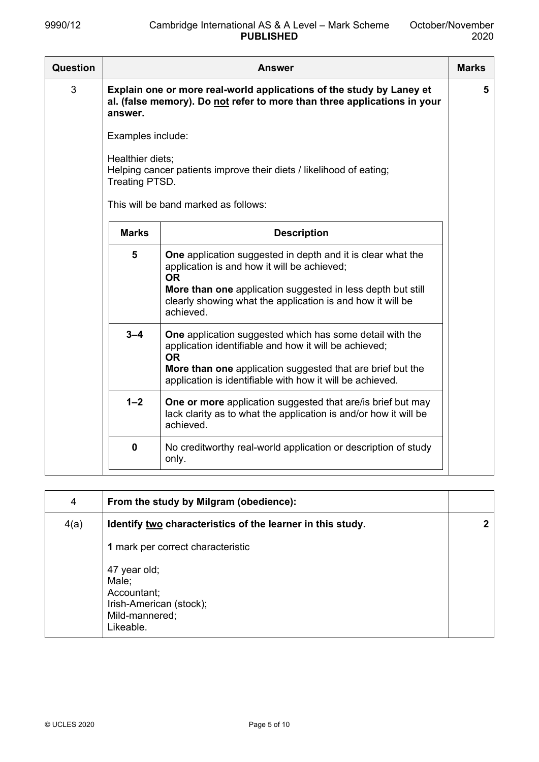| Question | <b>Answer</b>                      |                                                                                                                                                                                                                                                                          |   |
|----------|------------------------------------|--------------------------------------------------------------------------------------------------------------------------------------------------------------------------------------------------------------------------------------------------------------------------|---|
| 3        | answer.                            | Explain one or more real-world applications of the study by Laney et<br>al. (false memory). Do not refer to more than three applications in your                                                                                                                         | 5 |
|          | Examples include:                  |                                                                                                                                                                                                                                                                          |   |
|          | Healthier diets;<br>Treating PTSD. | Helping cancer patients improve their diets / likelihood of eating;                                                                                                                                                                                                      |   |
|          |                                    | This will be band marked as follows:                                                                                                                                                                                                                                     |   |
|          | <b>Marks</b>                       | <b>Description</b>                                                                                                                                                                                                                                                       |   |
|          | 5                                  | <b>One</b> application suggested in depth and it is clear what the<br>application is and how it will be achieved;<br><b>OR</b><br>More than one application suggested in less depth but still<br>clearly showing what the application is and how it will be<br>achieved. |   |
|          | $3 - 4$                            | <b>One</b> application suggested which has some detail with the<br>application identifiable and how it will be achieved;<br><b>OR</b><br>More than one application suggested that are brief but the<br>application is identifiable with how it will be achieved.         |   |
|          | $1 - 2$                            | <b>One or more</b> application suggested that are/is brief but may<br>lack clarity as to what the application is and/or how it will be<br>achieved.                                                                                                                      |   |
|          | $\mathbf 0$                        | No creditworthy real-world application or description of study<br>only.                                                                                                                                                                                                  |   |

| 4    | From the study by Milgram (obedience):                                                         |  |
|------|------------------------------------------------------------------------------------------------|--|
| 4(a) | Identify two characteristics of the learner in this study.                                     |  |
|      | 1 mark per correct characteristic                                                              |  |
|      | 47 year old;<br>Male;<br>Accountant;<br>Irish-American (stock);<br>Mild-mannered;<br>Likeable. |  |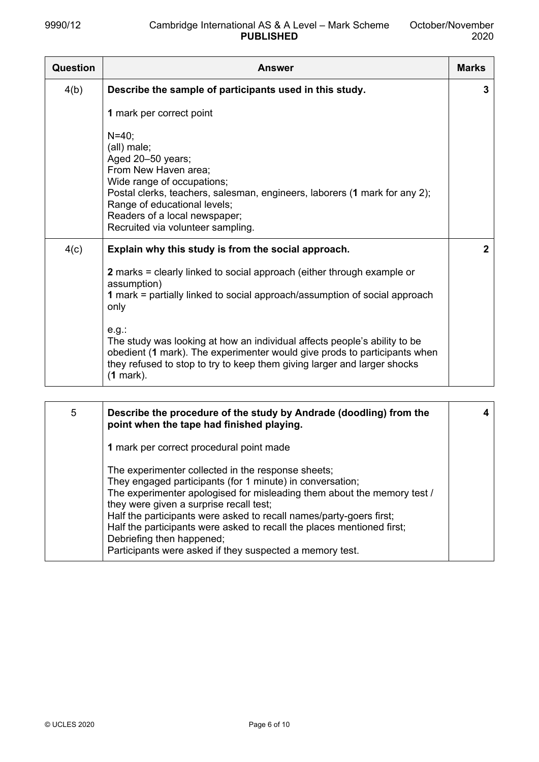| <b>Question</b> | <b>Answer</b>                                                                                                                                                                                                                                                                                                                                                                                                                                                                                              | <b>Marks</b> |
|-----------------|------------------------------------------------------------------------------------------------------------------------------------------------------------------------------------------------------------------------------------------------------------------------------------------------------------------------------------------------------------------------------------------------------------------------------------------------------------------------------------------------------------|--------------|
| 4(b)            | Describe the sample of participants used in this study.                                                                                                                                                                                                                                                                                                                                                                                                                                                    | 3            |
|                 | 1 mark per correct point                                                                                                                                                                                                                                                                                                                                                                                                                                                                                   |              |
|                 | $N = 40$ ;<br>(all) male;<br>Aged 20-50 years;<br>From New Haven area;<br>Wide range of occupations;<br>Postal clerks, teachers, salesman, engineers, laborers (1 mark for any 2);<br>Range of educational levels;<br>Readers of a local newspaper;<br>Recruited via volunteer sampling.                                                                                                                                                                                                                   |              |
| 4(c)            | Explain why this study is from the social approach.<br><b>2</b> marks = clearly linked to social approach (either through example or<br>assumption)<br>1 mark = partially linked to social approach/assumption of social approach<br>only<br>$e.g.$ :<br>The study was looking at how an individual affects people's ability to be<br>obedient (1 mark). The experimenter would give prods to participants when<br>they refused to stop to try to keep them giving larger and larger shocks<br>$(1$ mark). | $\mathbf{2}$ |

| 5 | Describe the procedure of the study by Andrade (doodling) from the<br>point when the tape had finished playing.                                                                                                                                                                                                                                                                                                                                                                 |  |
|---|---------------------------------------------------------------------------------------------------------------------------------------------------------------------------------------------------------------------------------------------------------------------------------------------------------------------------------------------------------------------------------------------------------------------------------------------------------------------------------|--|
|   | 1 mark per correct procedural point made                                                                                                                                                                                                                                                                                                                                                                                                                                        |  |
|   | The experimenter collected in the response sheets;<br>They engaged participants (for 1 minute) in conversation;<br>The experimenter apologised for misleading them about the memory test /<br>they were given a surprise recall test;<br>Half the participants were asked to recall names/party-goers first;<br>Half the participants were asked to recall the places mentioned first;<br>Debriefing then happened;<br>Participants were asked if they suspected a memory test. |  |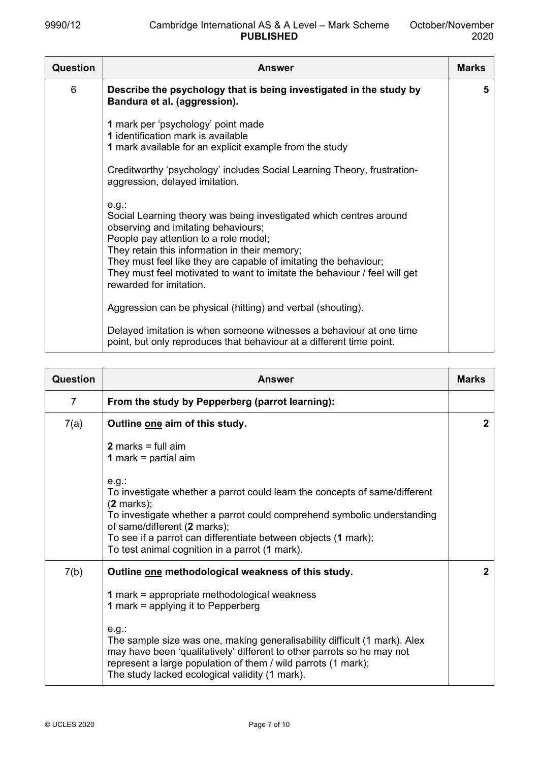| <b>Question</b> | <b>Answer</b>                                                                                                                                                                                                                                                                                                                                                                               | <b>Marks</b> |
|-----------------|---------------------------------------------------------------------------------------------------------------------------------------------------------------------------------------------------------------------------------------------------------------------------------------------------------------------------------------------------------------------------------------------|--------------|
| 6               | Describe the psychology that is being investigated in the study by<br>Bandura et al. (aggression).                                                                                                                                                                                                                                                                                          | 5            |
|                 | 1 mark per 'psychology' point made<br>1 identification mark is available<br>1 mark available for an explicit example from the study                                                                                                                                                                                                                                                         |              |
|                 | Creditworthy 'psychology' includes Social Learning Theory, frustration-<br>aggression, delayed imitation.                                                                                                                                                                                                                                                                                   |              |
|                 | $e.g.$ :<br>Social Learning theory was being investigated which centres around<br>observing and imitating behaviours;<br>People pay attention to a role model;<br>They retain this information in their memory;<br>They must feel like they are capable of imitating the behaviour;<br>They must feel motivated to want to imitate the behaviour / feel will get<br>rewarded for imitation. |              |
|                 | Aggression can be physical (hitting) and verbal (shouting).                                                                                                                                                                                                                                                                                                                                 |              |
|                 | Delayed imitation is when someone witnesses a behaviour at one time<br>point, but only reproduces that behaviour at a different time point.                                                                                                                                                                                                                                                 |              |

| Question | <b>Answer</b>                                                                                                                                                                                                                                                                                                                     | <b>Marks</b> |
|----------|-----------------------------------------------------------------------------------------------------------------------------------------------------------------------------------------------------------------------------------------------------------------------------------------------------------------------------------|--------------|
| 7        | From the study by Pepperberg (parrot learning):                                                                                                                                                                                                                                                                                   |              |
| 7(a)     | Outline one aim of this study.                                                                                                                                                                                                                                                                                                    | $\mathbf{2}$ |
|          | 2 marks = full $aim$<br><b>1</b> mark = partial aim                                                                                                                                                                                                                                                                               |              |
|          | e.g.<br>To investigate whether a parrot could learn the concepts of same/different<br>$(2$ marks);<br>To investigate whether a parrot could comprehend symbolic understanding<br>of same/different (2 marks);<br>To see if a parrot can differentiate between objects (1 mark);<br>To test animal cognition in a parrot (1 mark). |              |
| 7(b)     | Outline one methodological weakness of this study.                                                                                                                                                                                                                                                                                | $\mathbf{2}$ |
|          | 1 mark = appropriate methodological weakness<br><b>1</b> mark = applying it to Pepperberg                                                                                                                                                                                                                                         |              |
|          | $e.g.$ :<br>The sample size was one, making generalisability difficult (1 mark). Alex<br>may have been 'qualitatively' different to other parrots so he may not<br>represent a large population of them / wild parrots (1 mark);<br>The study lacked ecological validity (1 mark).                                                |              |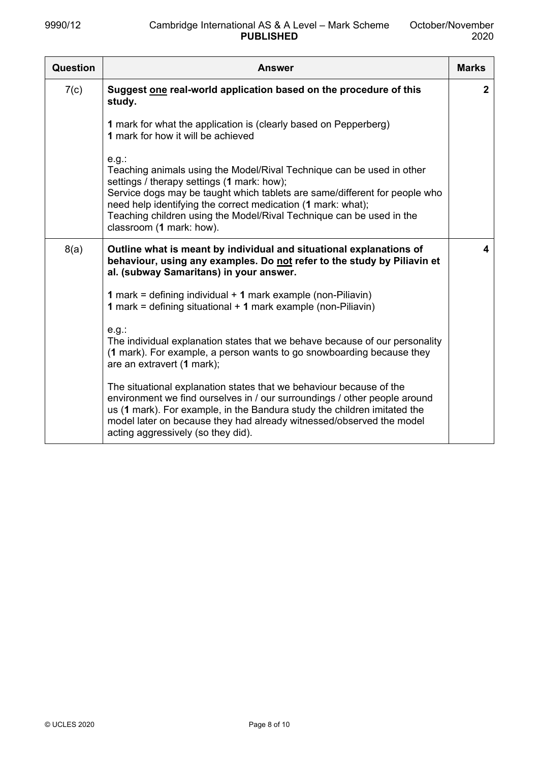| Question | <b>Answer</b>                                                                                                                                                                                                                                                                                                                                                                     | <b>Marks</b> |
|----------|-----------------------------------------------------------------------------------------------------------------------------------------------------------------------------------------------------------------------------------------------------------------------------------------------------------------------------------------------------------------------------------|--------------|
| 7(c)     | Suggest one real-world application based on the procedure of this<br>study.                                                                                                                                                                                                                                                                                                       | $\mathbf{2}$ |
|          | 1 mark for what the application is (clearly based on Pepperberg)<br>1 mark for how it will be achieved                                                                                                                                                                                                                                                                            |              |
|          | $e.g.$ :<br>Teaching animals using the Model/Rival Technique can be used in other<br>settings / therapy settings (1 mark: how);<br>Service dogs may be taught which tablets are same/different for people who<br>need help identifying the correct medication (1 mark: what);<br>Teaching children using the Model/Rival Technique can be used in the<br>classroom (1 mark: how). |              |
| 8(a)     | Outline what is meant by individual and situational explanations of<br>behaviour, using any examples. Do not refer to the study by Piliavin et<br>al. (subway Samaritans) in your answer.                                                                                                                                                                                         | 4            |
|          | <b>1</b> mark = defining individual $+$ <b>1</b> mark example (non-Piliavin)<br><b>1</b> mark = defining situational $+$ <b>1</b> mark example (non-Piliavin)                                                                                                                                                                                                                     |              |
|          | $e.g.$ :<br>The individual explanation states that we behave because of our personality<br>(1 mark). For example, a person wants to go snowboarding because they<br>are an extravert (1 mark);                                                                                                                                                                                    |              |
|          | The situational explanation states that we behaviour because of the<br>environment we find ourselves in / our surroundings / other people around<br>us (1 mark). For example, in the Bandura study the children imitated the<br>model later on because they had already witnessed/observed the model<br>acting aggressively (so they did).                                        |              |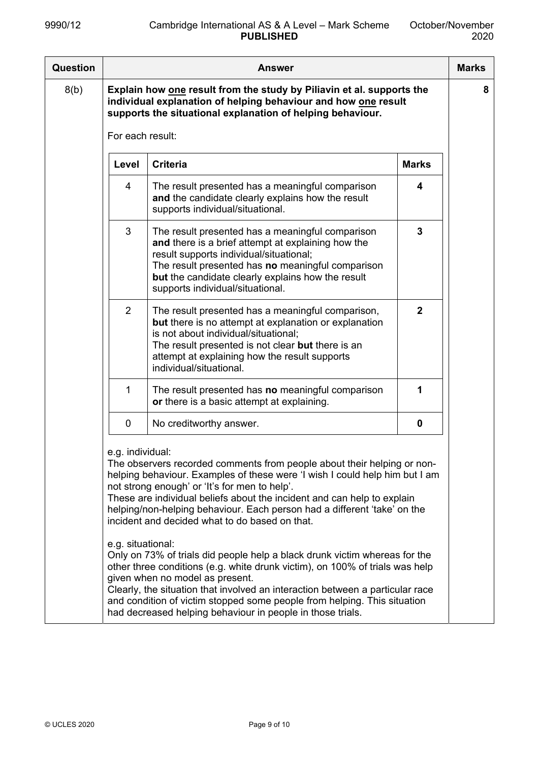| Question |                                       | Answer                                                                                                                                                                                                                                                                                                                                                                                                                                                                                                                                                                                                                                                                                             |              | <b>Marks</b> |
|----------|---------------------------------------|----------------------------------------------------------------------------------------------------------------------------------------------------------------------------------------------------------------------------------------------------------------------------------------------------------------------------------------------------------------------------------------------------------------------------------------------------------------------------------------------------------------------------------------------------------------------------------------------------------------------------------------------------------------------------------------------------|--------------|--------------|
| 8(b)     |                                       | Explain how one result from the study by Piliavin et al. supports the<br>individual explanation of helping behaviour and how one result<br>supports the situational explanation of helping behaviour.                                                                                                                                                                                                                                                                                                                                                                                                                                                                                              |              | 8            |
|          | For each result:                      |                                                                                                                                                                                                                                                                                                                                                                                                                                                                                                                                                                                                                                                                                                    |              |              |
|          | Level                                 | <b>Criteria</b>                                                                                                                                                                                                                                                                                                                                                                                                                                                                                                                                                                                                                                                                                    | <b>Marks</b> |              |
|          | 4                                     | The result presented has a meaningful comparison<br>and the candidate clearly explains how the result<br>supports individual/situational.                                                                                                                                                                                                                                                                                                                                                                                                                                                                                                                                                          | 4            |              |
|          | 3                                     | The result presented has a meaningful comparison<br>and there is a brief attempt at explaining how the<br>result supports individual/situational;<br>The result presented has no meaningful comparison<br>but the candidate clearly explains how the result<br>supports individual/situational.                                                                                                                                                                                                                                                                                                                                                                                                    | 3            |              |
|          | $\overline{2}$                        | The result presented has a meaningful comparison,<br>but there is no attempt at explanation or explanation<br>is not about individual/situational;<br>The result presented is not clear but there is an<br>attempt at explaining how the result supports<br>individual/situational.                                                                                                                                                                                                                                                                                                                                                                                                                | $\mathbf{2}$ |              |
|          | 1                                     | The result presented has no meaningful comparison<br>or there is a basic attempt at explaining.                                                                                                                                                                                                                                                                                                                                                                                                                                                                                                                                                                                                    | 1            |              |
|          | 0                                     | No creditworthy answer.                                                                                                                                                                                                                                                                                                                                                                                                                                                                                                                                                                                                                                                                            | 0            |              |
|          | e.g. individual:<br>e.g. situational: | The observers recorded comments from people about their helping or non-<br>helping behaviour. Examples of these were 'I wish I could help him but I am<br>not strong enough' or 'It's for men to help'.<br>These are individual beliefs about the incident and can help to explain<br>helping/non-helping behaviour. Each person had a different 'take' on the<br>incident and decided what to do based on that.<br>Only on 73% of trials did people help a black drunk victim whereas for the<br>other three conditions (e.g. white drunk victim), on 100% of trials was help<br>given when no model as present.<br>Clearly, the situation that involved an interaction between a particular race |              |              |
|          |                                       | and condition of victim stopped some people from helping. This situation<br>had decreased helping behaviour in people in those trials.                                                                                                                                                                                                                                                                                                                                                                                                                                                                                                                                                             |              |              |